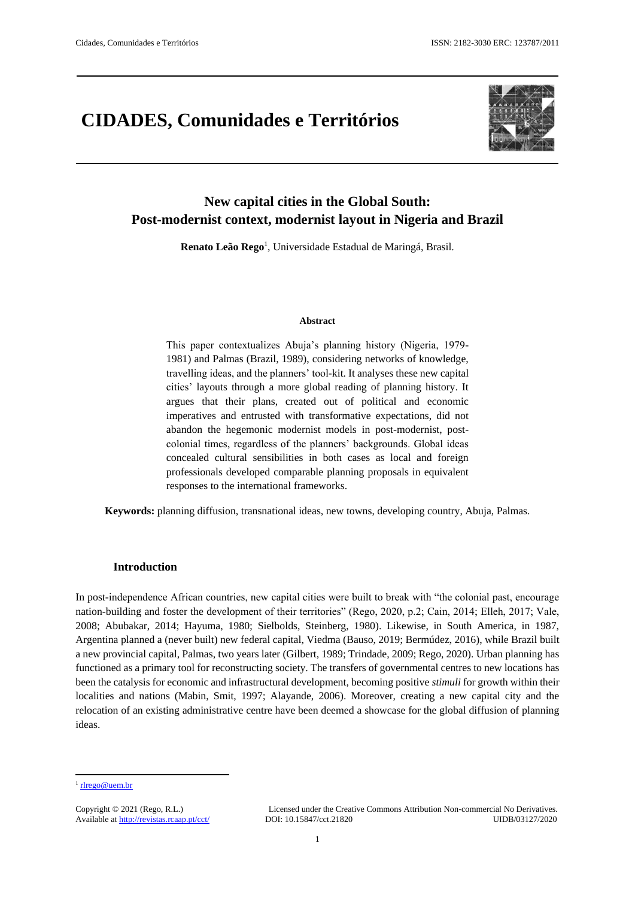# **CIDADES, Comunidades e Territórios**



# **New capital cities in the Global South: Post-modernist context, modernist layout in Nigeria and Brazil**

Renato Leão Rego<sup>1</sup>, Universidade Estadual de Maringá, Brasil.

#### **Abstract**

This paper contextualizes Abuja's planning history (Nigeria, 1979- 1981) and Palmas (Brazil, 1989), considering networks of knowledge, travelling ideas, and the planners' tool-kit. It analyses these new capital cities' layouts through a more global reading of planning history. It argues that their plans, created out of political and economic imperatives and entrusted with transformative expectations, did not abandon the hegemonic modernist models in post-modernist, postcolonial times, regardless of the planners' backgrounds. Global ideas concealed cultural sensibilities in both cases as local and foreign professionals developed comparable planning proposals in equivalent responses to the international frameworks.

**Keywords:** planning diffusion, transnational ideas, new towns, developing country, Abuja, Palmas.

#### **Introduction**

In post-independence African countries, new capital cities were built to break with "the colonial past, encourage nation-building and foster the development of their territories" (Rego, 2020, p.2; Cain, 2014; Elleh, 2017; Vale, 2008; Abubakar, 2014; Hayuma, 1980; Sielbolds, Steinberg, 1980). Likewise, in South America, in 1987, Argentina planned a (never built) new federal capital, Viedma (Bauso, 2019; Bermúdez, 2016), while Brazil built a new provincial capital, Palmas, two years later (Gilbert, 1989; Trindade, 2009; Rego, 2020). Urban planning has functioned as a primary tool for reconstructing society. The transfers of governmental centres to new locations has been the catalysis for economic and infrastructural development, becoming positive *stimuli* for growth within their localities and nations (Mabin, Smit, 1997; Alayande, 2006). Moreover, creating a new capital city and the relocation of an existing administrative centre have been deemed a showcase for the global diffusion of planning ideas.

1

<sup>&</sup>lt;sup>1</sup> [rlrego@uem.br](mailto:rlrego@uem.br)

Copyright © 2021 (Rego, R.L.) Licensed under the Creative Commons Attribution Non-commercial No Derivatives. Available at<http://revistas.rcaap.pt/cct/>DOI: 10.15847/cct.21820 UIDB/03127/2020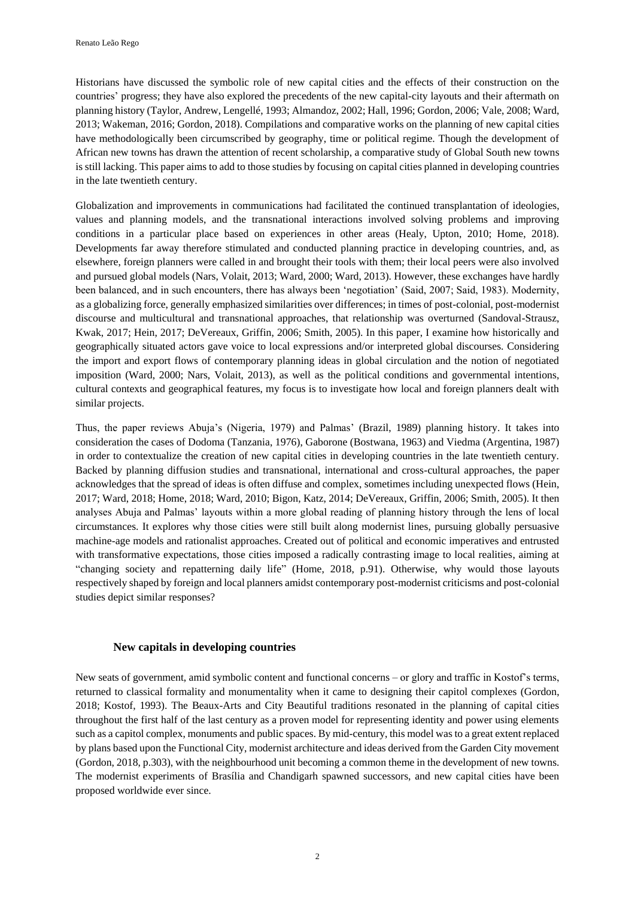Historians have discussed the symbolic role of new capital cities and the effects of their construction on the countries' progress; they have also explored the precedents of the new capital-city layouts and their aftermath on planning history (Taylor, Andrew, Lengellé, 1993; Almandoz, 2002; Hall, 1996; Gordon, 2006; Vale, 2008; Ward, 2013; Wakeman, 2016; Gordon, 2018). Compilations and comparative works on the planning of new capital cities have methodologically been circumscribed by geography, time or political regime. Though the development of African new towns has drawn the attention of recent scholarship, a comparative study of Global South new towns is still lacking. This paper aims to add to those studies by focusing on capital cities planned in developing countries in the late twentieth century.

Globalization and improvements in communications had facilitated the continued transplantation of ideologies, values and planning models, and the transnational interactions involved solving problems and improving conditions in a particular place based on experiences in other areas (Healy, Upton, 2010; Home, 2018). Developments far away therefore stimulated and conducted planning practice in developing countries, and, as elsewhere, foreign planners were called in and brought their tools with them; their local peers were also involved and pursued global models (Nars, Volait, 2013; Ward, 2000; Ward, 2013). However, these exchanges have hardly been balanced, and in such encounters, there has always been 'negotiation' (Said, 2007; Said, 1983). Modernity, as a globalizing force, generally emphasized similarities over differences; in times of post-colonial, post-modernist discourse and multicultural and transnational approaches, that relationship was overturned (Sandoval-Strausz, Kwak, 2017; Hein, 2017; DeVereaux, Griffin, 2006; Smith, 2005). In this paper, I examine how historically and geographically situated actors gave voice to local expressions and/or interpreted global discourses. Considering the import and export flows of contemporary planning ideas in global circulation and the notion of negotiated imposition (Ward, 2000; Nars, Volait, 2013), as well as the political conditions and governmental intentions, cultural contexts and geographical features, my focus is to investigate how local and foreign planners dealt with similar projects.

Thus, the paper reviews Abuja's (Nigeria, 1979) and Palmas' (Brazil, 1989) planning history. It takes into consideration the cases of Dodoma (Tanzania, 1976), Gaborone (Bostwana, 1963) and Viedma (Argentina, 1987) in order to contextualize the creation of new capital cities in developing countries in the late twentieth century. Backed by planning diffusion studies and transnational, international and cross-cultural approaches, the paper acknowledges that the spread of ideas is often diffuse and complex, sometimes including unexpected flows (Hein, 2017; Ward, 2018; Home, 2018; Ward, 2010; Bigon, Katz, 2014; DeVereaux, Griffin, 2006; Smith, 2005). It then analyses Abuja and Palmas' layouts within a more global reading of planning history through the lens of local circumstances. It explores why those cities were still built along modernist lines, pursuing globally persuasive machine-age models and rationalist approaches. Created out of political and economic imperatives and entrusted with transformative expectations, those cities imposed a radically contrasting image to local realities, aiming at "changing society and repatterning daily life" (Home, 2018, p.91). Otherwise, why would those layouts respectively shaped by foreign and local planners amidst contemporary post-modernist criticisms and post-colonial studies depict similar responses?

# **New capitals in developing countries**

New seats of government, amid symbolic content and functional concerns – or glory and traffic in Kostof's terms, returned to classical formality and monumentality when it came to designing their capitol complexes (Gordon, 2018; Kostof, 1993). The Beaux-Arts and City Beautiful traditions resonated in the planning of capital cities throughout the first half of the last century as a proven model for representing identity and power using elements such as a capitol complex, monuments and public spaces. By mid-century, this model was to a great extent replaced by plans based upon the Functional City, modernist architecture and ideas derived from the Garden City movement (Gordon, 2018, p.303), with the neighbourhood unit becoming a common theme in the development of new towns. The modernist experiments of Brasília and Chandigarh spawned successors, and new capital cities have been proposed worldwide ever since.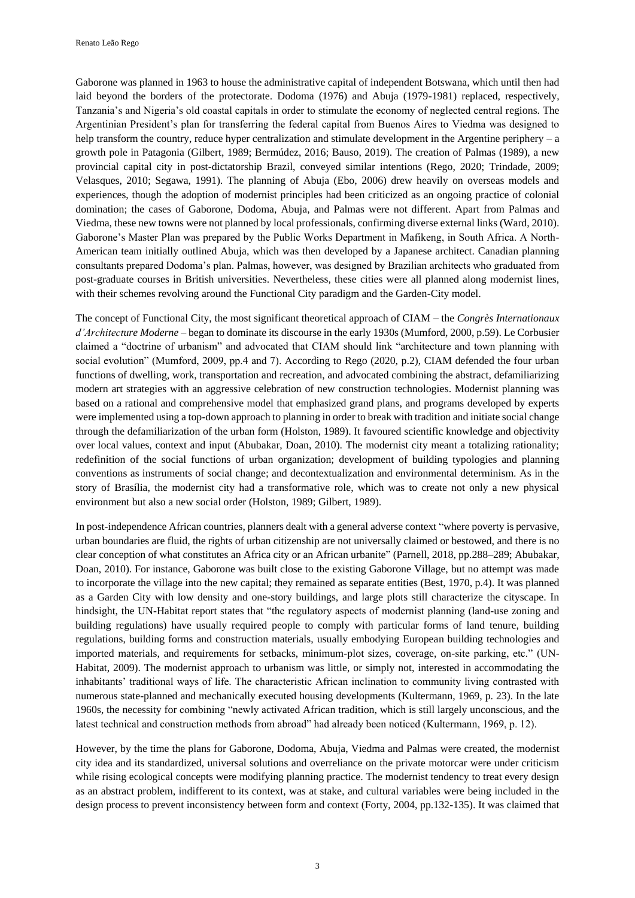Renato Leão Rego

Gaborone was planned in 1963 to house the administrative capital of independent Botswana, which until then had laid beyond the borders of the protectorate. Dodoma (1976) and Abuja (1979-1981) replaced, respectively, Tanzania's and Nigeria's old coastal capitals in order to stimulate the economy of neglected central regions. The Argentinian President's plan for transferring the federal capital from Buenos Aires to Viedma was designed to help transform the country, reduce hyper centralization and stimulate development in the Argentine periphery – a growth pole in Patagonia (Gilbert, 1989; Bermúdez, 2016; Bauso, 2019). The creation of Palmas (1989), a new provincial capital city in post-dictatorship Brazil, conveyed similar intentions (Rego, 2020; Trindade, 2009; Velasques, 2010; Segawa, 1991). The planning of Abuja (Ebo, 2006) drew heavily on overseas models and experiences, though the adoption of modernist principles had been criticized as an ongoing practice of colonial domination; the cases of Gaborone, Dodoma, Abuja, and Palmas were not different. Apart from Palmas and Viedma, these new towns were not planned by local professionals, confirming diverse external links (Ward, 2010). Gaborone's Master Plan was prepared by the Public Works Department in Mafikeng, in South Africa. A North-American team initially outlined Abuja, which was then developed by a Japanese architect. Canadian planning consultants prepared Dodoma's plan. Palmas, however, was designed by Brazilian architects who graduated from post-graduate courses in British universities. Nevertheless, these cities were all planned along modernist lines, with their schemes revolving around the Functional City paradigm and the Garden-City model.

The concept of Functional City, the most significant theoretical approach of CIAM – the *Congrès Internationaux d'Architecture Moderne* – began to dominate its discourse in the early 1930s (Mumford, 2000, p.59). Le Corbusier claimed a "doctrine of urbanism" and advocated that CIAM should link "architecture and town planning with social evolution" (Mumford, 2009, pp.4 and 7). According to Rego (2020, p.2), CIAM defended the four urban functions of dwelling, work, transportation and recreation, and advocated combining the abstract, defamiliarizing modern art strategies with an aggressive celebration of new construction technologies. Modernist planning was based on a rational and comprehensive model that emphasized grand plans, and programs developed by experts were implemented using a top-down approach to planning in order to break with tradition and initiate social change through the defamiliarization of the urban form (Holston, 1989). It favoured scientific knowledge and objectivity over local values, context and input (Abubakar, Doan, 2010). The modernist city meant a totalizing rationality; redefinition of the social functions of urban organization; development of building typologies and planning conventions as instruments of social change; and decontextualization and environmental determinism. As in the story of Brasília, the modernist city had a transformative role, which was to create not only a new physical environment but also a new social order (Holston, 1989; Gilbert, 1989).

In post-independence African countries, planners dealt with a general adverse context "where poverty is pervasive, urban boundaries are fluid, the rights of urban citizenship are not universally claimed or bestowed, and there is no clear conception of what constitutes an Africa city or an African urbanite" (Parnell, 2018, pp.288–289; Abubakar, Doan, 2010). For instance, Gaborone was built close to the existing Gaborone Village, but no attempt was made to incorporate the village into the new capital; they remained as separate entities (Best, 1970, p.4). It was planned as a Garden City with low density and one-story buildings, and large plots still characterize the cityscape. In hindsight, the UN-Habitat report states that "the regulatory aspects of modernist planning (land-use zoning and building regulations) have usually required people to comply with particular forms of land tenure, building regulations, building forms and construction materials, usually embodying European building technologies and imported materials, and requirements for setbacks, minimum-plot sizes, coverage, on-site parking, etc." (UN-Habitat, 2009). The modernist approach to urbanism was little, or simply not, interested in accommodating the inhabitants' traditional ways of life. The characteristic African inclination to community living contrasted with numerous state-planned and mechanically executed housing developments (Kultermann, 1969, p. 23). In the late 1960s, the necessity for combining "newly activated African tradition, which is still largely unconscious, and the latest technical and construction methods from abroad" had already been noticed (Kultermann, 1969, p. 12).

However, by the time the plans for Gaborone, Dodoma, Abuja, Viedma and Palmas were created, the modernist city idea and its standardized, universal solutions and overreliance on the private motorcar were under criticism while rising ecological concepts were modifying planning practice. The modernist tendency to treat every design as an abstract problem, indifferent to its context, was at stake, and cultural variables were being included in the design process to prevent inconsistency between form and context (Forty, 2004, pp.132-135). It was claimed that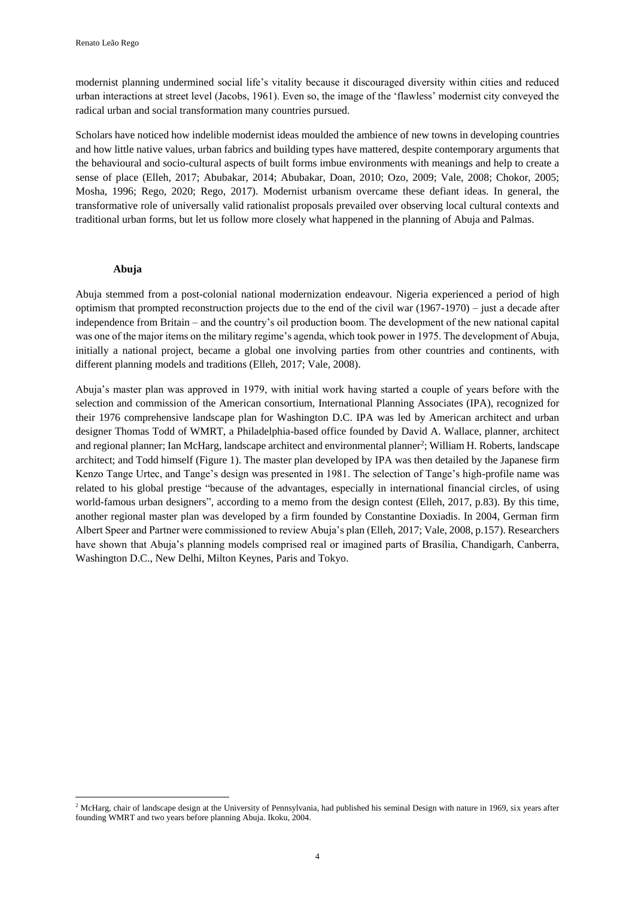modernist planning undermined social life's vitality because it discouraged diversity within cities and reduced urban interactions at street level (Jacobs, 1961). Even so, the image of the 'flawless' modernist city conveyed the radical urban and social transformation many countries pursued.

Scholars have noticed how indelible modernist ideas moulded the ambience of new towns in developing countries and how little native values, urban fabrics and building types have mattered, despite contemporary arguments that the behavioural and socio-cultural aspects of built forms imbue environments with meanings and help to create a sense of place (Elleh, 2017; Abubakar, 2014; Abubakar, Doan, 2010; Ozo, 2009; Vale, 2008; Chokor, 2005; Mosha, 1996; Rego, 2020; Rego, 2017). Modernist urbanism overcame these defiant ideas. In general, the transformative role of universally valid rationalist proposals prevailed over observing local cultural contexts and traditional urban forms, but let us follow more closely what happened in the planning of Abuja and Palmas.

#### **Abuja**

**.** 

Abuja stemmed from a post-colonial national modernization endeavour. Nigeria experienced a period of high optimism that prompted reconstruction projects due to the end of the civil war  $(1967-1970)$  – just a decade after independence from Britain – and the country's oil production boom. The development of the new national capital was one of the major items on the military regime's agenda, which took power in 1975. The development of Abuja, initially a national project, became a global one involving parties from other countries and continents, with different planning models and traditions (Elleh, 2017; Vale, 2008).

Abuja's master plan was approved in 1979, with initial work having started a couple of years before with the selection and commission of the American consortium, International Planning Associates (IPA), recognized for their 1976 comprehensive landscape plan for Washington D.C. IPA was led by American architect and urban designer Thomas Todd of WMRT, a Philadelphia-based office founded by David A. Wallace, planner, architect and regional planner; Ian McHarg, landscape architect and environmental planner<sup>2</sup>; William H. Roberts, landscape architect; and Todd himself (Figure 1). The master plan developed by IPA was then detailed by the Japanese firm Kenzo Tange Urtec, and Tange's design was presented in 1981. The selection of Tange's high-profile name was related to his global prestige "because of the advantages, especially in international financial circles, of using world-famous urban designers", according to a memo from the design contest (Elleh, 2017, p.83). By this time, another regional master plan was developed by a firm founded by Constantine Doxiadis. In 2004, German firm Albert Speer and Partner were commissioned to review Abuja's plan (Elleh, 2017; Vale, 2008, p.157). Researchers have shown that Abuja's planning models comprised real or imagined parts of Brasília, Chandigarh, Canberra, Washington D.C., New Delhi, Milton Keynes, Paris and Tokyo.

<sup>&</sup>lt;sup>2</sup> McHarg, chair of landscape design at the University of Pennsylvania, had published his seminal Design with nature in 1969, six years after founding WMRT and two years before planning Abuja. Ikoku, 2004.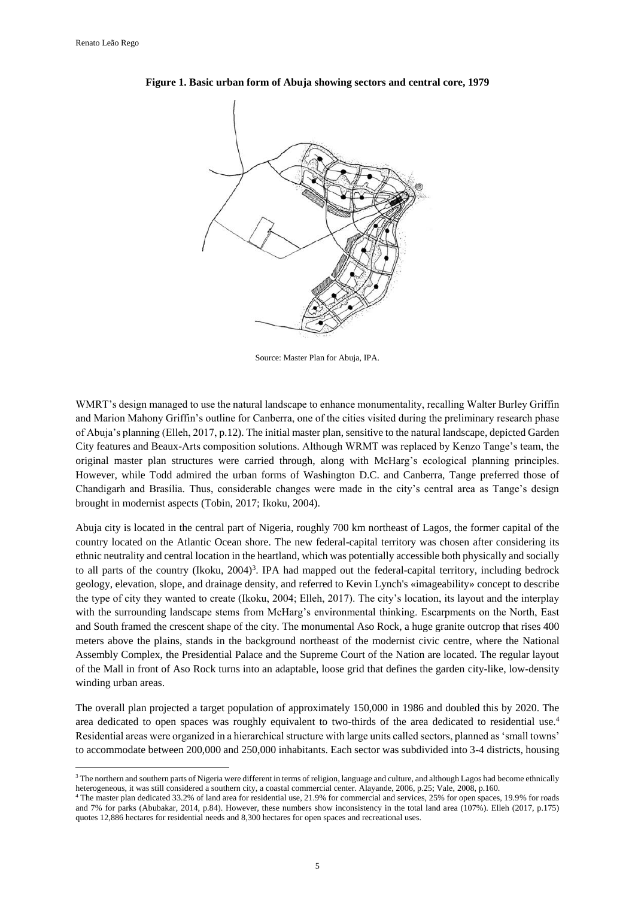**.** 



**Figure 1. Basic urban form of Abuja showing sectors and central core, 1979**

Source: Master Plan for Abuja, IPA.

WMRT's design managed to use the natural landscape to enhance monumentality, recalling Walter Burley Griffin and Marion Mahony Griffin's outline for Canberra, one of the cities visited during the preliminary research phase of Abuja's planning (Elleh, 2017, p.12). The initial master plan, sensitive to the natural landscape, depicted Garden City features and Beaux-Arts composition solutions. Although WRMT was replaced by Kenzo Tange's team, the original master plan structures were carried through, along with McHarg's ecological planning principles. However, while Todd admired the urban forms of Washington D.C. and Canberra, Tange preferred those of Chandigarh and Brasília. Thus, considerable changes were made in the city's central area as Tange's design brought in modernist aspects (Tobin, 2017; Ikoku, 2004).

Abuja city is located in the central part of Nigeria, roughly 700 km northeast of Lagos, the former capital of the country located on the Atlantic Ocean shore. The new federal-capital territory was chosen after considering its ethnic neutrality and central location in the heartland, which was potentially accessible both physically and socially to all parts of the country (Ikoku, 2004)<sup>3</sup>. IPA had mapped out the federal-capital territory, including bedrock geology, elevation, slope, and drainage density, and referred to Kevin Lynch's «imageability» concept to describe the type of city they wanted to create (Ikoku, 2004; Elleh, 2017). The city's location, its layout and the interplay with the surrounding landscape stems from McHarg's environmental thinking. Escarpments on the North, East and South framed the crescent shape of the city. The monumental Aso Rock, a huge granite outcrop that rises 400 meters above the plains, stands in the background northeast of the modernist civic centre, where the National Assembly Complex, the Presidential Palace and the Supreme Court of the Nation are located. The regular layout of the Mall in front of Aso Rock turns into an adaptable, loose grid that defines the garden city-like, low-density winding urban areas.

The overall plan projected a target population of approximately 150,000 in 1986 and doubled this by 2020. The area dedicated to open spaces was roughly equivalent to two-thirds of the area dedicated to residential use.<sup>4</sup> Residential areas were organized in a hierarchical structure with large units called sectors, planned as 'small towns' to accommodate between 200,000 and 250,000 inhabitants. Each sector was subdivided into 3-4 districts, housing

<sup>&</sup>lt;sup>3</sup> The northern and southern parts of Nigeria were different in terms of religion, language and culture, and although Lagos had become ethnically heterogeneous, it was still considered a southern city, a coastal commercial center. Alayande, 2006, p.25; Vale, 2008, p.160.

<sup>4</sup> The master plan dedicated 33.2% of land area for residential use, 21.9% for commercial and services, 25% for open spaces, 19.9% for roads and 7% for parks (Abubakar, 2014, p.84). However, these numbers show inconsistency in the total land area (107%). Elleh (2017, p.175) quotes 12,886 hectares for residential needs and 8,300 hectares for open spaces and recreational uses.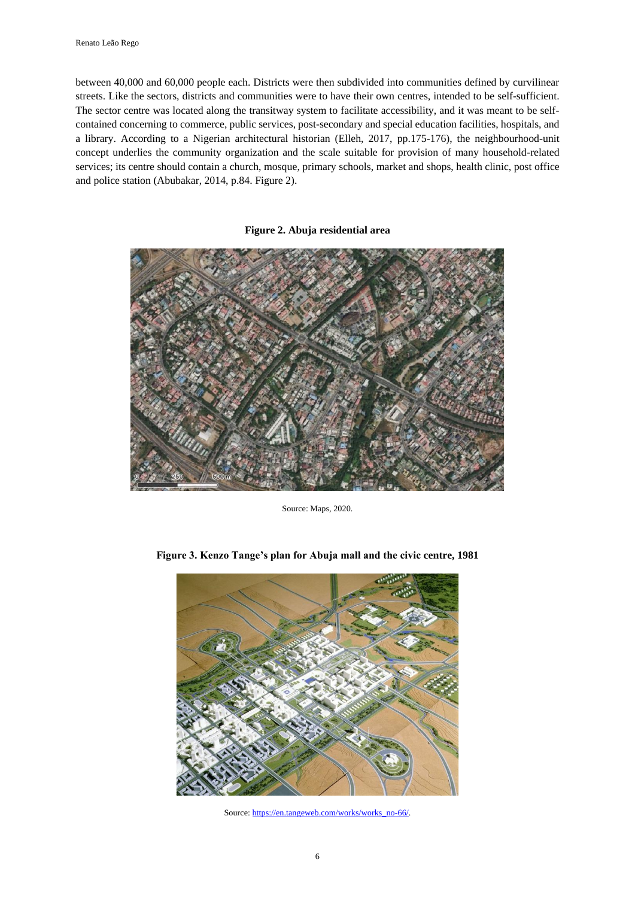between 40,000 and 60,000 people each. Districts were then subdivided into communities defined by curvilinear streets. Like the sectors, districts and communities were to have their own centres, intended to be self-sufficient. The sector centre was located along the transitway system to facilitate accessibility, and it was meant to be selfcontained concerning to commerce, public services, post-secondary and special education facilities, hospitals, and a library. According to a Nigerian architectural historian (Elleh, 2017, pp.175-176), the neighbourhood-unit concept underlies the community organization and the scale suitable for provision of many household-related services; its centre should contain a church, mosque, primary schools, market and shops, health clinic, post office and police station (Abubakar, 2014, p.84. Figure 2).

#### **Figure 2. Abuja residential area**



Source: Maps, 2020.



**Figure 3. Kenzo Tange's plan for Abuja mall and the civic centre, 1981**

Source[: https://en.tangeweb.com/works/works\\_no-66/.](https://en.tangeweb.com/works/works_no-66/)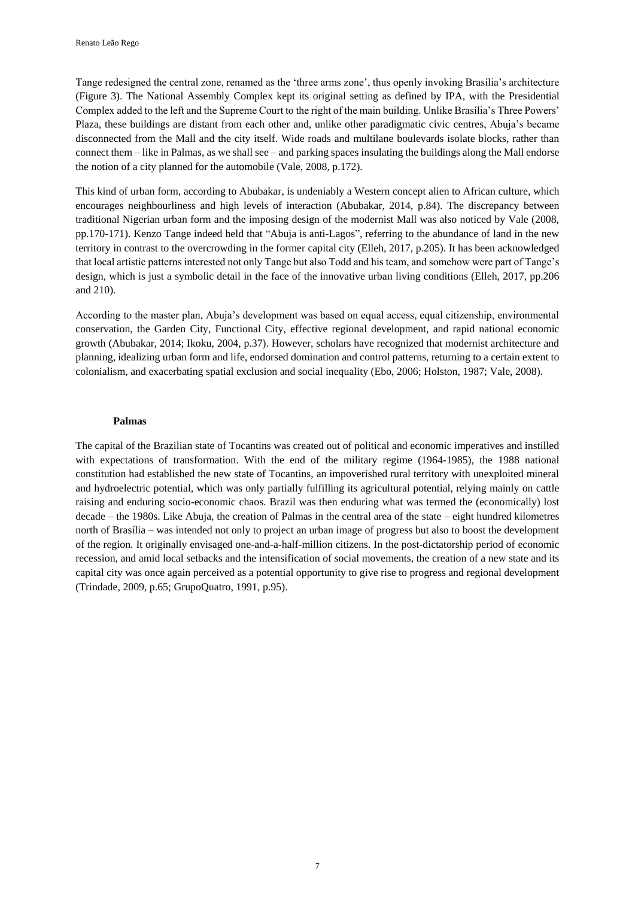Tange redesigned the central zone, renamed as the 'three arms zone', thus openly invoking Brasília's architecture (Figure 3). The National Assembly Complex kept its original setting as defined by IPA, with the Presidential Complex added to the left and the Supreme Court to the right of the main building. Unlike Brasília's Three Powers' Plaza, these buildings are distant from each other and, unlike other paradigmatic civic centres, Abuja's became disconnected from the Mall and the city itself. Wide roads and multilane boulevards isolate blocks, rather than connect them – like in Palmas, as we shall see – and parking spaces insulating the buildings along the Mall endorse the notion of a city planned for the automobile (Vale, 2008, p.172).

This kind of urban form, according to Abubakar, is undeniably a Western concept alien to African culture, which encourages neighbourliness and high levels of interaction (Abubakar, 2014, p.84). The discrepancy between traditional Nigerian urban form and the imposing design of the modernist Mall was also noticed by Vale (2008, pp.170-171). Kenzo Tange indeed held that "Abuja is anti-Lagos", referring to the abundance of land in the new territory in contrast to the overcrowding in the former capital city (Elleh, 2017, p.205). It has been acknowledged that local artistic patterns interested not only Tange but also Todd and his team, and somehow were part of Tange's design, which is just a symbolic detail in the face of the innovative urban living conditions (Elleh, 2017, pp.206 and 210).

According to the master plan, Abuja's development was based on equal access, equal citizenship, environmental conservation, the Garden City, Functional City, effective regional development, and rapid national economic growth (Abubakar, 2014; Ikoku, 2004, p.37). However, scholars have recognized that modernist architecture and planning, idealizing urban form and life, endorsed domination and control patterns, returning to a certain extent to colonialism, and exacerbating spatial exclusion and social inequality (Ebo, 2006; Holston, 1987; Vale, 2008).

#### **Palmas**

The capital of the Brazilian state of Tocantins was created out of political and economic imperatives and instilled with expectations of transformation. With the end of the military regime (1964-1985), the 1988 national constitution had established the new state of Tocantins, an impoverished rural territory with unexploited mineral and hydroelectric potential, which was only partially fulfilling its agricultural potential, relying mainly on cattle raising and enduring socio-economic chaos. Brazil was then enduring what was termed the (economically) lost decade – the 1980s. Like Abuja, the creation of Palmas in the central area of the state – eight hundred kilometres north of Brasília – was intended not only to project an urban image of progress but also to boost the development of the region. It originally envisaged one-and-a-half-million citizens. In the post-dictatorship period of economic recession, and amid local setbacks and the intensification of social movements, the creation of a new state and its capital city was once again perceived as a potential opportunity to give rise to progress and regional development (Trindade, 2009, p.65; GrupoQuatro, 1991, p.95).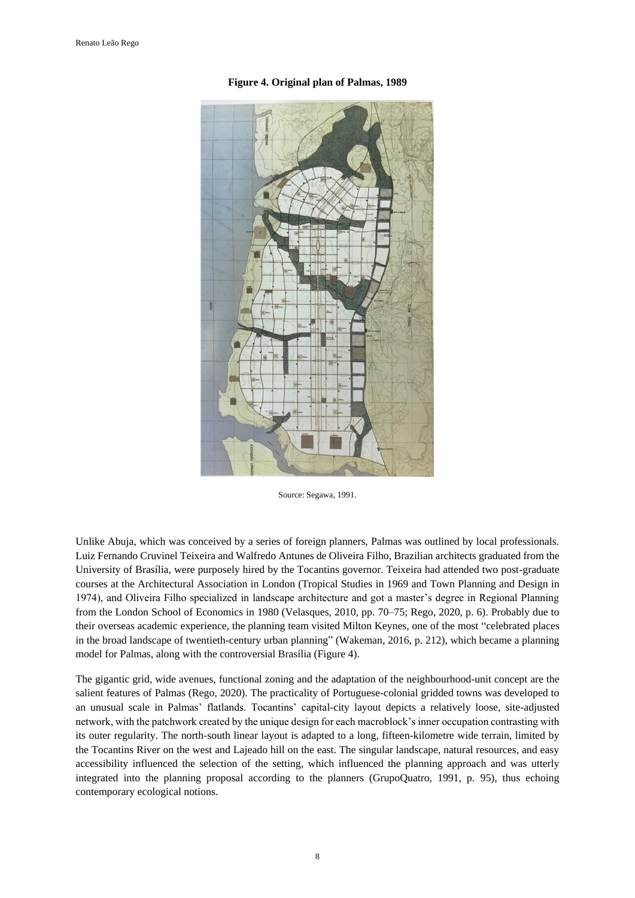

**Figure 4. Original plan of Palmas, 1989**

Source: Segawa, 1991.

Unlike Abuja, which was conceived by a series of foreign planners, Palmas was outlined by local professionals. Luiz Fernando Cruvinel Teixeira and Walfredo Antunes de Oliveira Filho, Brazilian architects graduated from the University of Brasília, were purposely hired by the Tocantins governor. Teixeira had attended two post-graduate courses at the Architectural Association in London (Tropical Studies in 1969 and Town Planning and Design in 1974), and Oliveira Filho specialized in landscape architecture and got a master's degree in Regional Planning from the London School of Economics in 1980 (Velasques, 2010, pp. 70–75; Rego, 2020, p. 6). Probably due to their overseas academic experience, the planning team visited Milton Keynes, one of the most "celebrated places in the broad landscape of twentieth-century urban planning" (Wakeman, 2016, p. 212), which became a planning model for Palmas, along with the controversial Brasília (Figure 4).

The gigantic grid, wide avenues, functional zoning and the adaptation of the neighbourhood-unit concept are the salient features of Palmas (Rego, 2020). The practicality of Portuguese-colonial gridded towns was developed to an unusual scale in Palmas' flatlands. Tocantins' capital-city layout depicts a relatively loose, site-adjusted network, with the patchwork created by the unique design for each macroblock's inner occupation contrasting with its outer regularity. The north-south linear layout is adapted to a long, fifteen-kilometre wide terrain, limited by the Tocantins River on the west and Lajeado hill on the east. The singular landscape, natural resources, and easy accessibility influenced the selection of the setting, which influenced the planning approach and was utterly integrated into the planning proposal according to the planners (GrupoQuatro, 1991, p. 95), thus echoing contemporary ecological notions.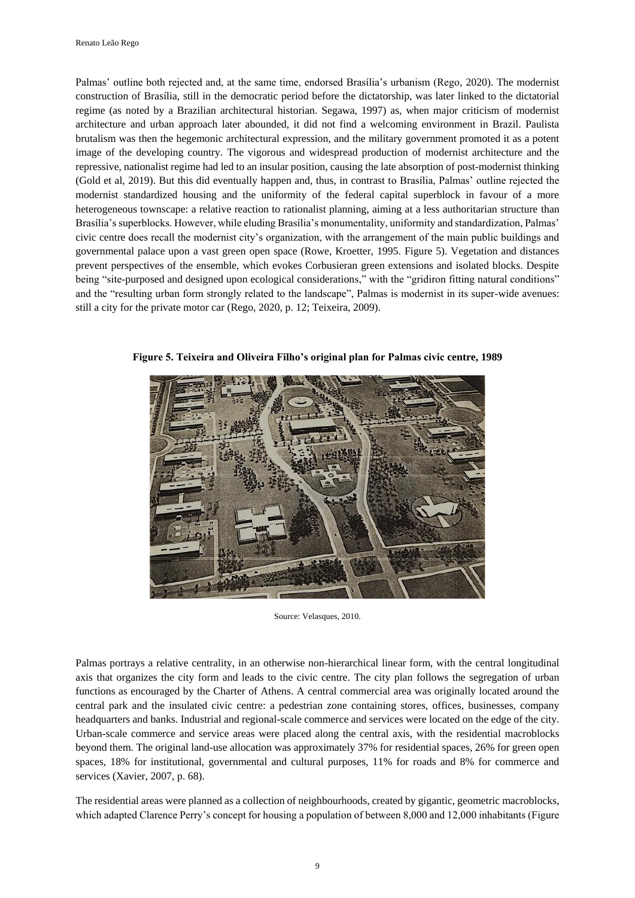Palmas' outline both rejected and, at the same time, endorsed Brasília's urbanism (Rego, 2020). The modernist construction of Brasília, still in the democratic period before the dictatorship, was later linked to the dictatorial regime (as noted by a Brazilian architectural historian. Segawa, 1997) as, when major criticism of modernist architecture and urban approach later abounded, it did not find a welcoming environment in Brazil. Paulista brutalism was then the hegemonic architectural expression, and the military government promoted it as a potent image of the developing country. The vigorous and widespread production of modernist architecture and the repressive, nationalist regime had led to an insular position, causing the late absorption of post-modernist thinking (Gold et al, 2019). But this did eventually happen and, thus, in contrast to Brasília, Palmas' outline rejected the modernist standardized housing and the uniformity of the federal capital superblock in favour of a more heterogeneous townscape: a relative reaction to rationalist planning, aiming at a less authoritarian structure than Brasília's superblocks. However, while eluding Brasília's monumentality, uniformity and standardization, Palmas' civic centre does recall the modernist city's organization, with the arrangement of the main public buildings and governmental palace upon a vast green open space (Rowe, Kroetter, 1995. Figure 5). Vegetation and distances prevent perspectives of the ensemble, which evokes Corbusieran green extensions and isolated blocks. Despite being "site-purposed and designed upon ecological considerations," with the "gridiron fitting natural conditions" and the "resulting urban form strongly related to the landscape", Palmas is modernist in its super-wide avenues: still a city for the private motor car (Rego, 2020, p. 12; Teixeira, 2009).



**Figure 5. Teixeira and Oliveira Filho's original plan for Palmas civic centre, 1989**

Source: Velasques, 2010.

Palmas portrays a relative centrality, in an otherwise non-hierarchical linear form, with the central longitudinal axis that organizes the city form and leads to the civic centre. The city plan follows the segregation of urban functions as encouraged by the Charter of Athens. A central commercial area was originally located around the central park and the insulated civic centre: a pedestrian zone containing stores, offices, businesses, company headquarters and banks. Industrial and regional-scale commerce and services were located on the edge of the city. Urban-scale commerce and service areas were placed along the central axis, with the residential macroblocks beyond them. The original land-use allocation was approximately 37% for residential spaces, 26% for green open spaces, 18% for institutional, governmental and cultural purposes, 11% for roads and 8% for commerce and services (Xavier, 2007, p. 68).

The residential areas were planned as a collection of neighbourhoods, created by gigantic, geometric macroblocks, which adapted Clarence Perry's concept for housing a population of between 8,000 and 12,000 inhabitants (Figure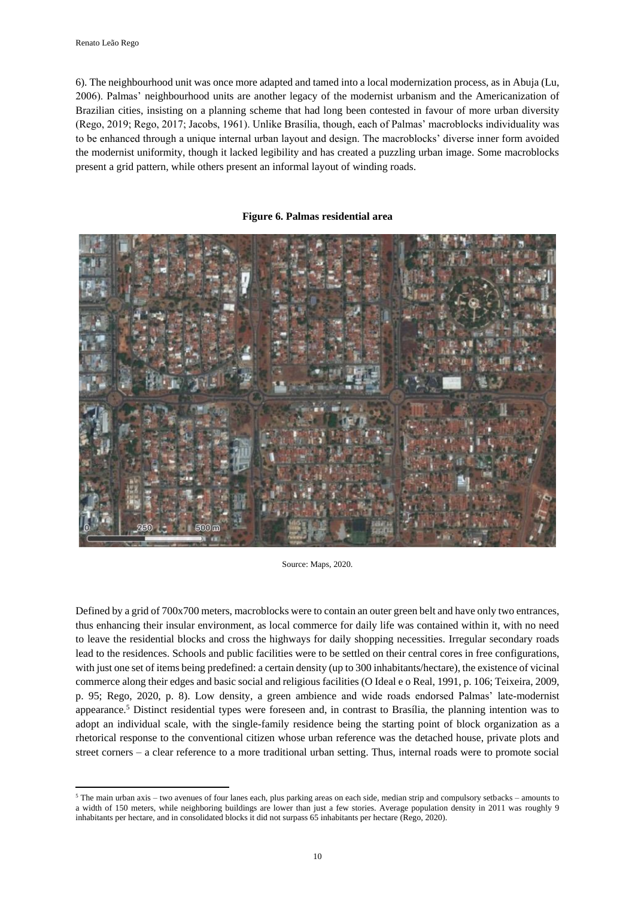**.** 

6). The neighbourhood unit was once more adapted and tamed into a local modernization process, as in Abuja (Lu, 2006). Palmas' neighbourhood units are another legacy of the modernist urbanism and the Americanization of Brazilian cities, insisting on a planning scheme that had long been contested in favour of more urban diversity (Rego, 2019; Rego, 2017; Jacobs, 1961). Unlike Brasília, though, each of Palmas' macroblocks individuality was to be enhanced through a unique internal urban layout and design. The macroblocks' diverse inner form avoided the modernist uniformity, though it lacked legibility and has created a puzzling urban image. Some macroblocks present a grid pattern, while others present an informal layout of winding roads.

#### **Figure 6. Palmas residential area**



Source: Maps, 2020.

Defined by a grid of 700x700 meters, macroblocks were to contain an outer green belt and have only two entrances, thus enhancing their insular environment, as local commerce for daily life was contained within it, with no need to leave the residential blocks and cross the highways for daily shopping necessities. Irregular secondary roads lead to the residences. Schools and public facilities were to be settled on their central cores in free configurations, with just one set of items being predefined: a certain density (up to 300 inhabitants/hectare), the existence of vicinal commerce along their edges and basic social and religious facilities (O Ideal e o Real, 1991, p. 106; Teixeira, 2009, p. 95; Rego, 2020, p. 8). Low density, a green ambience and wide roads endorsed Palmas' late-modernist appearance.<sup>5</sup> Distinct residential types were foreseen and, in contrast to Brasília, the planning intention was to adopt an individual scale, with the single-family residence being the starting point of block organization as a rhetorical response to the conventional citizen whose urban reference was the detached house, private plots and street corners – a clear reference to a more traditional urban setting. Thus, internal roads were to promote social

<sup>5</sup> The main urban axis – two avenues of four lanes each, plus parking areas on each side, median strip and compulsory setbacks – amounts to a width of 150 meters, while neighboring buildings are lower than just a few stories. Average population density in 2011 was roughly 9 inhabitants per hectare, and in consolidated blocks it did not surpass 65 inhabitants per hectare (Rego, 2020).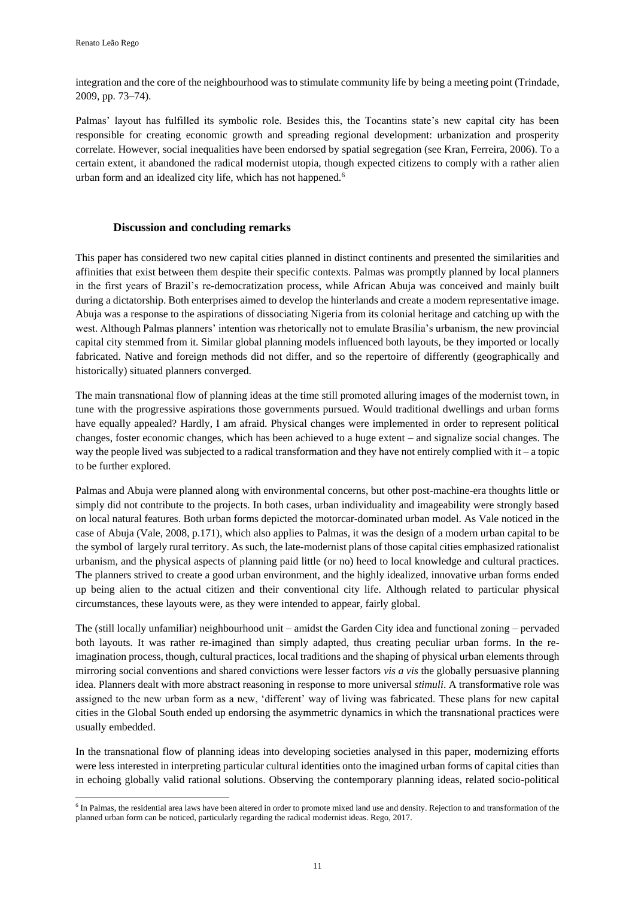**.** 

integration and the core of the neighbourhood was to stimulate community life by being a meeting point (Trindade, 2009, pp. 73–74).

Palmas' layout has fulfilled its symbolic role. Besides this, the Tocantins state's new capital city has been responsible for creating economic growth and spreading regional development: urbanization and prosperity correlate. However, social inequalities have been endorsed by spatial segregation (see Kran, Ferreira, 2006). To a certain extent, it abandoned the radical modernist utopia, though expected citizens to comply with a rather alien urban form and an idealized city life, which has not happened.<sup>6</sup>

## **Discussion and concluding remarks**

This paper has considered two new capital cities planned in distinct continents and presented the similarities and affinities that exist between them despite their specific contexts. Palmas was promptly planned by local planners in the first years of Brazil's re-democratization process, while African Abuja was conceived and mainly built during a dictatorship. Both enterprises aimed to develop the hinterlands and create a modern representative image. Abuja was a response to the aspirations of dissociating Nigeria from its colonial heritage and catching up with the west. Although Palmas planners' intention was rhetorically not to emulate Brasília's urbanism, the new provincial capital city stemmed from it. Similar global planning models influenced both layouts, be they imported or locally fabricated. Native and foreign methods did not differ, and so the repertoire of differently (geographically and historically) situated planners converged.

The main transnational flow of planning ideas at the time still promoted alluring images of the modernist town, in tune with the progressive aspirations those governments pursued. Would traditional dwellings and urban forms have equally appealed? Hardly, I am afraid. Physical changes were implemented in order to represent political changes, foster economic changes, which has been achieved to a huge extent – and signalize social changes. The way the people lived was subjected to a radical transformation and they have not entirely complied with it – a topic to be further explored.

Palmas and Abuja were planned along with environmental concerns, but other post-machine-era thoughts little or simply did not contribute to the projects. In both cases, urban individuality and imageability were strongly based on local natural features. Both urban forms depicted the motorcar-dominated urban model. As Vale noticed in the case of Abuja (Vale, 2008, p.171), which also applies to Palmas, it was the design of a modern urban capital to be the symbol of largely rural territory. As such, the late-modernist plans of those capital cities emphasized rationalist urbanism, and the physical aspects of planning paid little (or no) heed to local knowledge and cultural practices. The planners strived to create a good urban environment, and the highly idealized, innovative urban forms ended up being alien to the actual citizen and their conventional city life. Although related to particular physical circumstances, these layouts were, as they were intended to appear, fairly global.

The (still locally unfamiliar) neighbourhood unit – amidst the Garden City idea and functional zoning – pervaded both layouts. It was rather re-imagined than simply adapted, thus creating peculiar urban forms. In the reimagination process, though, cultural practices, local traditions and the shaping of physical urban elements through mirroring social conventions and shared convictions were lesser factors *vis a vis* the globally persuasive planning idea. Planners dealt with more abstract reasoning in response to more universal *stimuli*. A transformative role was assigned to the new urban form as a new, 'different' way of living was fabricated. These plans for new capital cities in the Global South ended up endorsing the asymmetric dynamics in which the transnational practices were usually embedded.

In the transnational flow of planning ideas into developing societies analysed in this paper, modernizing efforts were less interested in interpreting particular cultural identities onto the imagined urban forms of capital cities than in echoing globally valid rational solutions. Observing the contemporary planning ideas, related socio-political

<sup>&</sup>lt;sup>6</sup> In Palmas, the residential area laws have been altered in order to promote mixed land use and density. Rejection to and transformation of the planned urban form can be noticed, particularly regarding the radical modernist ideas. Rego, 2017.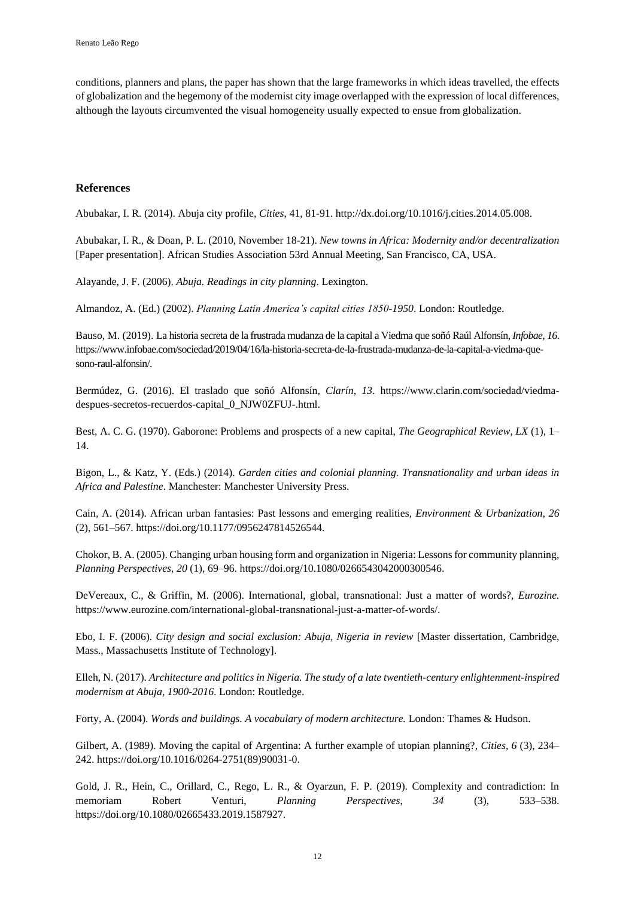conditions, planners and plans, the paper has shown that the large frameworks in which ideas travelled, the effects of globalization and the hegemony of the modernist city image overlapped with the expression of local differences, although the layouts circumvented the visual homogeneity usually expected to ensue from globalization.

## **References**

Abubakar, I. R. (2014). Abuja city profile, *Cities*, 41, 81-91[. http://dx.doi.org/10.1016/j.cities.2014.05.008.](http://dx.doi.org/10.1016/j.cities.2014.05.008)

Abubakar, I. R., & Doan, P. L. (2010, November 18-21). *New towns in Africa: Modernity and/or decentralization* [Paper presentation]. African Studies Association 53rd Annual Meeting, San Francisco, CA, USA.

Alayande, J. F. (2006). *Abuja. Readings in city planning*. Lexington.

Almandoz, A. (Ed.) (2002). *Planning Latin America's capital cities 1850-1950*. London: Routledge.

Bauso, M. (2019). La historia secreta de la frustrada mudanza de la capital a Viedma que soñó Raúl Alfonsín, *Infobae*, *16*. [https://www.infobae.com/sociedad/2019/04/16/la-historia-secreta-de-la-frustrada-mudanza-de-la-capital-a-viedma-que](https://www.infobae.com/sociedad/2019/04/16/la-historia-secreta-de-la-frustrada-mudanza-de-la-capital-a-viedma-que-sono-raul-alfonsin/)[sono-raul-alfonsin/.](https://www.infobae.com/sociedad/2019/04/16/la-historia-secreta-de-la-frustrada-mudanza-de-la-capital-a-viedma-que-sono-raul-alfonsin/) 

Bermúdez, G. (2016). El traslado que soñó Alfonsín, *Clarín*, *13*. [https://www.clarin.com/sociedad/viedma](https://www.clarin.com/sociedad/viedma-despues-secretos-recuerdos-capital_0_NJW0ZFUJ-.html)[despues-secretos-recuerdos-capital\\_0\\_NJW0ZFUJ-.html.](https://www.clarin.com/sociedad/viedma-despues-secretos-recuerdos-capital_0_NJW0ZFUJ-.html)

Best, A. C. G. (1970). Gaborone: Problems and prospects of a new capital, *The Geographical Review*, *LX* (1), 1– 14.

Bigon, L., & Katz, Y. (Eds.) (2014). *Garden cities and colonial planning. Transnationality and urban ideas in Africa and Palestine*. Manchester: Manchester University Press.

Cain, A. (2014). African urban fantasies: Past lessons and emerging realities, *Environment & Urbanization*, *26* (2), 561–567[. https://doi.org/10.1177/0956247814526544.](https://doi.org/10.1177%2F0956247814526544)

Chokor, B. A. (2005). Changing urban housing form and organization in Nigeria: Lessons for community planning, *Planning Perspectives*, *20* (1), 69–96. [https://doi.org/10.1080/0266543042000300546.](https://doi.org/10.1080/0266543042000300546)

DeVereaux, C., & Griffin, M. (2006). International, global, transnational: Just a matter of words?, *Eurozine.*  [https://www.eurozine.com/international-global-transnational-just-a-matter-of-words/.](https://www.eurozine.com/international-global-transnational-just-a-matter-of-words/)

Ebo, I. F. (2006). *City design and social exclusion: Abuja, Nigeria in review* [Master dissertation, Cambridge, Mass., Massachusetts Institute of Technology].

Elleh, N. (2017). *Architecture and politics in Nigeria. The study of a late twentieth-century enlightenment-inspired modernism at Abuja, 1900-2016*. London: Routledge.

Forty, A. (2004). *Words and buildings. A vocabulary of modern architecture.* London: Thames & Hudson.

Gilbert, A. (1989). Moving the capital of Argentina: A further example of utopian planning?, *Cities*, *6* (3), 234– 242. [https://doi.org/10.1016/0264-2751\(89\)90031-0.](https://doi.org/10.1016/0264-2751(89)90031-0)

Gold, J. R., Hein, C., Orillard, C., Rego, L. R., & Oyarzun, F. P. (2019). Complexity and contradiction: In memoriam Robert Venturi, *Planning Perspectives*, *34* (3), 533–538. [https://doi.org/10.1080/02665433.2019.1587927.](https://doi.org/10.1080/02665433.2019.1587927)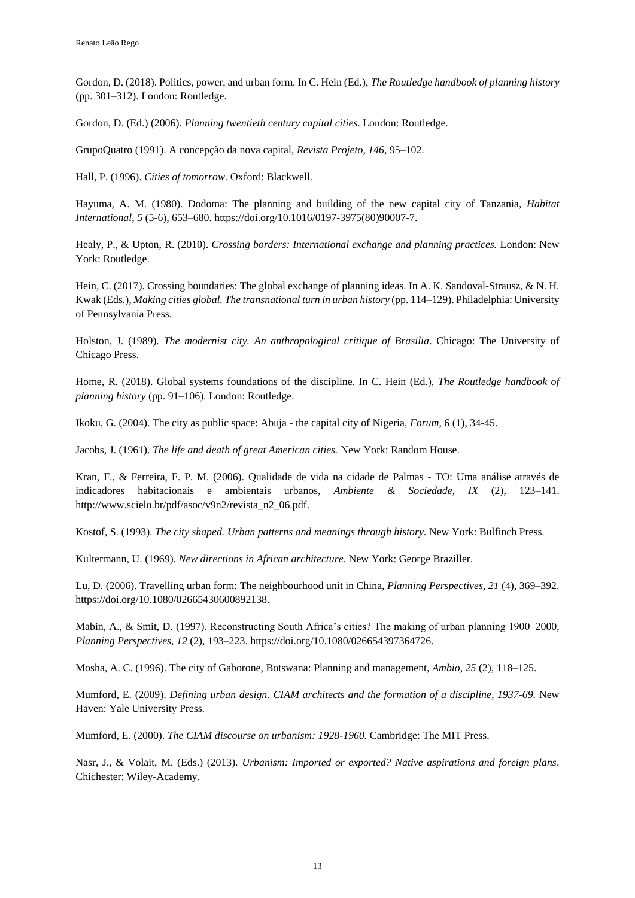Gordon, D. (2018). Politics, power, and urban form. In C. Hein (Ed.), *The Routledge handbook of planning history* (pp. 301–312). London: Routledge.

Gordon, D. (Ed.) (2006). *Planning twentieth century capital cities*. London: Routledge.

GrupoQuatro (1991). A concepção da nova capital, *Revista Projeto*, *146*, 95–102.

Hall, P. (1996). *Cities of tomorrow*. Oxford: Blackwell.

Hayuma, A. M. (1980). Dodoma: The planning and building of the new capital city of Tanzania, *Habitat International*, *5* (5-6), 653–680. [https://doi.org/10.1016/0197-3975\(80\)90007-7.](https://doi.org/10.1016/0197-3975(80)90007-7)

Healy, P., & Upton, R. (2010). *Crossing borders: International exchange and planning practices.* London: New York: Routledge.

Hein, C. (2017). Crossing boundaries: The global exchange of planning ideas. In A. K. Sandoval-Strausz, & N. H. Kwak (Eds.), *Making cities global. The transnational turn in urban history* (pp. 114–129). Philadelphia: University of Pennsylvania Press.

Holston, J. (1989). *The modernist city. An anthropological critique of Brasilia*. Chicago: The University of Chicago Press.

Home, R. (2018). Global systems foundations of the discipline. In C. Hein (Ed.), *The Routledge handbook of planning history* (pp. 91–106). London: Routledge.

Ikoku, G. (2004). The city as public space: Abuja - the capital city of Nigeria, *Forum*, 6 (1), 34-45.

Jacobs, J. (1961). *The life and death of great American cities.* New York: Random House.

Kran, F., & Ferreira, F. P. M. (2006). Qualidade de vida na cidade de Palmas - TO: Uma análise através de indicadores habitacionais e ambientais urbanos, *Ambiente & Sociedade*, *IX* (2), 123–141. [http://www.scielo.br/pdf/asoc/v9n2/revista\\_n2\\_06.pdf.](http://www.scielo.br/pdf/asoc/v9n2/revista_n2_06.pdf)

Kostof, S. (1993). *The city shaped. Urban patterns and meanings through history*. New York: Bulfinch Press.

Kultermann, U. (1969). *New directions in African architecture*. New York: George Braziller.

Lu, D. (2006). Travelling urban form: The neighbourhood unit in China, *Planning Perspectives*, *21* (4), 369–392. [https://doi.org/10.1080/02665430600892138.](https://doi.org/10.1080/02665430600892138)

Mabin, A., & Smit, D. (1997). Reconstructing South Africa's cities? The making of urban planning 1900–2000, *Planning Perspectives*, *12* (2), 193–223. [https://doi.org/10.1080/026654397364726.](https://doi.org/10.1080/026654397364726)

Mosha, A. C. (1996). The city of Gaborone, Botswana: Planning and management, *Ambio*, *25* (2), 118–125.

Mumford, E. (2009). *Defining urban design. CIAM architects and the formation of a discipline, 1937-69.* New Haven: Yale University Press.

Mumford, E. (2000). *The CIAM discourse on urbanism: 1928-1960.* Cambridge: The MIT Press.

Nasr, J., & Volait, M. (Eds.) (2013). *Urbanism: Imported or exported? Native aspirations and foreign plans*. Chichester: Wiley-Academy.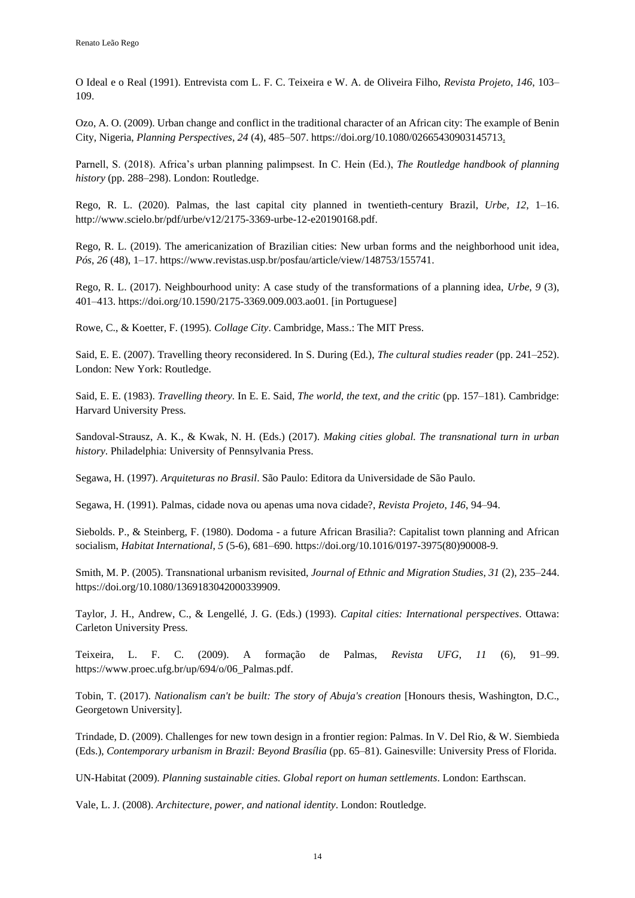O Ideal e o Real (1991). Entrevista com L. F. C. Teixeira e W. A. de Oliveira Filho, *Revista Projeto*, *146*, 103– 109.

Ozo, A. O. (2009). Urban change and conflict in the traditional character of an African city: The example of Benin City, Nigeria, *Planning Perspectives*, *24* (4), 485–507. [https://doi.org/10.1080/02665430903145713.](https://doi.org/10.1080/02665430903145713)

Parnell, S. (2018). Africa's urban planning palimpsest. In C. Hein (Ed.), *The Routledge handbook of planning history* (pp. 288–298). London: Routledge.

Rego, R. L. (2020). Palmas, the last capital city planned in twentieth-century Brazil, *Urbe, 12*, 1–16. [http://www.scielo.br/pdf/urbe/v12/2175-3369-urbe-12-e20190168.pdf.](http://www.scielo.br/pdf/urbe/v12/2175-3369-urbe-12-e20190168.pdf)

Rego, R. L. (2019). The americanization of Brazilian cities: New urban forms and the neighborhood unit idea, *Pós*, *26* (48), 1–17. [https://www.revistas.usp.br/posfau/article/view/148753/155741.](https://www.revistas.usp.br/posfau/article/view/148753/155741)

Rego, R. L. (2017). Neighbourhood unity: A case study of the transformations of a planning idea, *Urbe*, *9* (3), 401–413. [https://doi.org/10.1590/2175-3369.009.003.ao01.](https://doi.org/10.1590/2175-3369.009.003.ao01) [in Portuguese]

Rowe, C., & Koetter, F. (1995). *Collage City*. Cambridge, Mass.: The MIT Press.

Said, E. E. (2007). Travelling theory reconsidered. In S. During (Ed.), *The cultural studies reader* (pp. 241–252). London: New York: Routledge.

Said, E. E. (1983). *Travelling theory.* In E. E. Said, *The world, the text, and the critic* (pp. 157–181)*.* Cambridge: Harvard University Press.

Sandoval-Strausz, A. K., & Kwak, N. H. (Eds.) (2017). *Making cities global. The transnational turn in urban history*. Philadelphia: University of Pennsylvania Press.

Segawa, H. (1997). *Arquiteturas no Brasil*. São Paulo: Editora da Universidade de São Paulo.

Segawa, H. (1991). Palmas, cidade nova ou apenas uma nova cidade?, *Revista Projeto*, *146*, 94–94.

Siebolds. P., & Steinberg, F. (1980). Dodoma - a future African Brasilia?: Capitalist town planning and African socialism, *Habitat International*, *5* (5-6), 681–690. [https://doi.org/10.1016/0197-3975\(80\)90008-9.](https://doi.org/10.1016/0197-3975(80)90008-9)

Smith, M. P. (2005). Transnational urbanism revisited, *Journal of Ethnic and Migration Studies*, *31* (2), 235–244. [https://doi.org/10.1080/1369183042000339909.](https://doi.org/10.1080/1369183042000339909)

Taylor, J. H., Andrew, C., & Lengellé, J. G. (Eds.) (1993). *Capital cities: International perspectives*. Ottawa: Carleton University Press.

Teixeira, L. F. C. (2009). A formação de Palmas, *Revista UFG*, *11* (6), 91–99. [https://www.proec.ufg.br/up/694/o/06\\_Palmas.pdf.](https://www.proec.ufg.br/up/694/o/06_Palmas.pdf)

Tobin, T. (2017). *Nationalism can't be built: The story of Abuja's creation* [Honours thesis, Washington, D.C., Georgetown University].

Trindade, D. (2009). Challenges for new town design in a frontier region: Palmas. In V. Del Rio, & W. Siembieda (Eds.), *Contemporary urbanism in Brazil: Beyond Brasília* (pp. 65–81). Gainesville: University Press of Florida.

UN-Habitat (2009). *Planning sustainable cities. Global report on human settlements*. London: Earthscan.

Vale, L. J. (2008). *Architecture, power, and national identity*. London: Routledge.